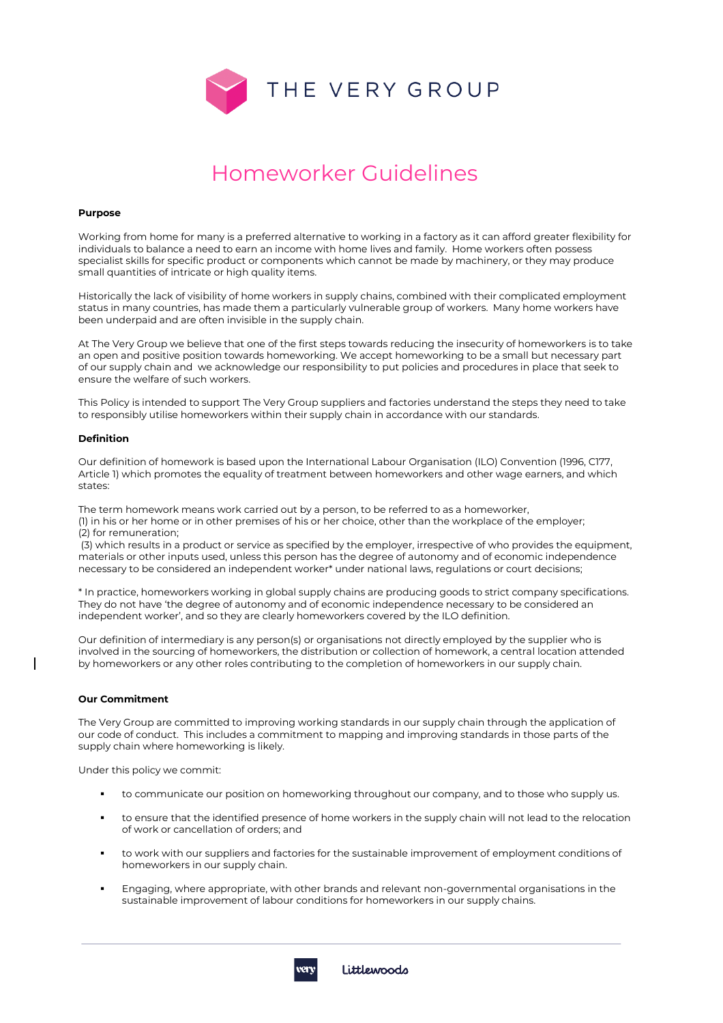

# Homeworker Guidelines

#### **Purpose**

Working from home for many is a preferred alternative to working in a factory as it can afford greater flexibility for individuals to balance a need to earn an income with home lives and family. Home workers often possess specialist skills for specific product or components which cannot be made by machinery, or they may produce small quantities of intricate or high quality items.

Historically the lack of visibility of home workers in supply chains, combined with their complicated employment status in many countries, has made them a particularly vulnerable group of workers. Many home workers have been underpaid and are often invisible in the supply chain.

At The Very Group we believe that one of the first steps towards reducing the insecurity of homeworkers is to take an open and positive position towards homeworking. We accept homeworking to be a small but necessary part of our supply chain and we acknowledge our responsibility to put policies and procedures in place that seek to ensure the welfare of such workers.

This Policy is intended to support The Very Group suppliers and factories understand the steps they need to take to responsibly utilise homeworkers within their supply chain in accordance with our standards.

### **Definition**

Our definition of homework is based upon the International Labour Organisation (ILO) Convention (1996, C177, Article 1) which promotes the equality of treatment between homeworkers and other wage earners, and which states:

The term homework means work carried out by a person, to be referred to as a homeworker, (1) in his or her home or in other premises of his or her choice, other than the workplace of the employer; (2) for remuneration;

(3) which results in a product or service as specified by the employer, irrespective of who provides the equipment, materials or other inputs used, unless this person has the degree of autonomy and of economic independence necessary to be considered an independent worker\* under national laws, regulations or court decisions;

\* In practice, homeworkers working in global supply chains are producing goods to strict company specifications. They do not have 'the degree of autonomy and of economic independence necessary to be considered an independent worker', and so they are clearly homeworkers covered by the ILO definition.

Our definition of intermediary is any person(s) or organisations not directly employed by the supplier who is involved in the sourcing of homeworkers, the distribution or collection of homework, a central location attended by homeworkers or any other roles contributing to the completion of homeworkers in our supply chain.

#### **Our Commitment**

The Very Group are committed to improving working standards in our supply chain through the application of our code of conduct. This includes a commitment to mapping and improving standards in those parts of the supply chain where homeworking is likely.

Under this policy we commit:

- to communicate our position on homeworking throughout our company, and to those who supply us.
- to ensure that the identified presence of home workers in the supply chain will not lead to the relocation of work or cancellation of orders; and
- to work with our suppliers and factories for the sustainable improvement of employment conditions of homeworkers in our supply chain.
- Engaging, where appropriate, with other brands and relevant non-governmental organisations in the sustainable improvement of labour conditions for homeworkers in our supply chains.